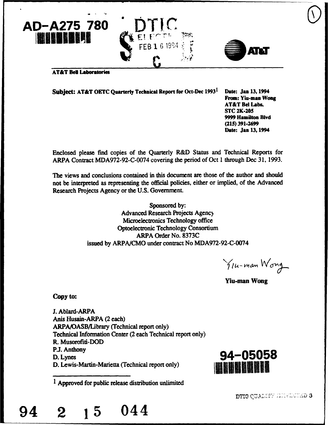



#### **AT&T Bell Laboratories**

Subject: AT&T **OETC** Quarterly Technical Report for Oct-Dec 19931 Date: Jan 13,1994 From: Yiu-man **Wong**

AT&T Bel Labs. **STC** 2K-205 **9999** Hamilton **Blvd (215) 391-2699** Date: Jan 13,1994

Enclosed please find copies of the Quarterly R&D Status and Technical Reports for ARPA Contract MDA972-92-C-0074 covering the period of Oct 1 through Dec 31, 1993.

The views and conclusions contained in this document are those of the author and should not be interpreted as representing the official policies, either or implied, of the Advanced Research Projects Agency or the U.S. Government.

> Sponsored by: Advanced Research Projects Agency Microelectronics Technology office Optoelectronic Technology Consortium ARPA Order No. 8373C issued by ARPA/CMO under contract No MDA972-92-C-0074

You-man Wong

Yiu-man Wong

Copy to:

**J.** Ablard-ARPA Anis Husain-ARPA (2 each) ARPA/OASB/Library (Technical report only) Technical Information Center (2 each Technical report only) R. Musorofiti-DOD P.J. Anthony D. Lynes **94-05058** D. Lewis-Martin-Marietta (Technical report only)

1 Approved for public release distribution unlimited



# 94 2 **15** 044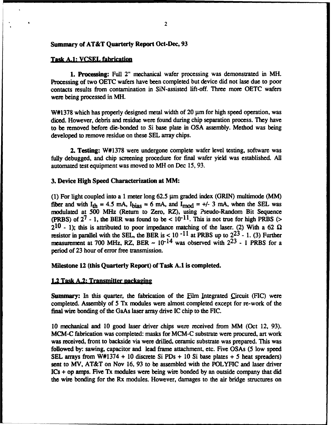#### Summary of AT&T Quarterly Report Oct-Dec, **93**

#### Task **A.1: VCSEL** fabrication

1. Processing: Full 2" mechanical wafer processing was demonstrated in MH. Processing of two OETC wafers have been completed but device did not lase due to poor contacts results from contamination in SiN-assisted lift-off. Three more OETC wafers were being processed in MH.

 $W#1378$  which has properly designed metal width of 20  $\mu$ m for high speed operation, was diced. However, debris and residue were found during chip separation process. They have to be removed before die-bonded to Si base plate in OSA assembly. Method was being developed to remove residue on these SEL array chips.

2. Testing: W#1378 were undergone complete wafer level testing, software was fully debugged, and chip screening procedure for final wafer yield was established. All automated test equipment was moved to MH on Dec 15, 93.

#### 3. Device High Speed Characterization at MM:

(1) For light coupled into a 1 meter long  $62.5 \mu m$  graded index (GRIN) multimode (MM) fiber and with  $I_{th} = 4.5$  mA,  $I_{bias} = 6$  mA, and  $I_{mod} = +/-3$  mA, when the SEL was modulated at 500 MHz (Return to Zero, RZ), using ?seudo-Random Bit Sequence (PRBS) of  $2^7$  - 1, the BER was found to be <  $10^{-11}$ . This is not true for high PRBS (>  $2^{10}$  - 1); this is attributed to poor impedance matching of the laser. (2) With a 62  $\Omega$ resistor in parallel with the SEL, the BER is < **10 -11** at PRBS up to 223 - 1. (3) Further measurement at 700 MHz, RZ, BER  $\sim 10^{-14}$  was observed with  $2^{23}$  - 1 PRBS for a period of 23 hour of error free transmission.

#### Milestone 12 (this Quarterly Report) of Task A.1 is completed.

#### 1.2 Task A.2: Transmitter nackaging

Summary: In this quarter, the fabrication of the film Integrated Circuit **(FIC)** were completed. Assembly of **5** Tx modules were almost completed except for re-work of the final wire bonding of the GaAs laser array drive IC chip to the FIC.

10 mechanical and 10 good laser driver chips were received from MM (Oct 12, 93). MCM-C fabrication was completed: masks for MCM-C substrate were procured, art work was received, front to backside via were drilled, ceramic substrate was prepared. This was followed by: sawing, capacitor and lead frame attachment, etc. Five OSAs (5 low speed SEL arrays from W#1374 + 10 discrete Si PDs + 10 Si base plates + 5 heat spreaders) sent to MV, AT&T on Nov 16, 93 to be assembled with the POLYFIC and laser driver ICs + op amps. Five Tx modules were being wire bonded by an outside company that did the wire bonding for the Rx modules. However, damages to the air bridge structures on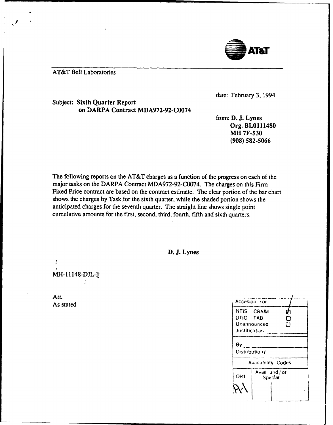

# **AT&T Bell Laboratories**

date: February 3, 1994

Subject: Sixth Quarter Report on DARPA Contract MDA972-92-C0074

> from: D. J. Lynes Org. BL0111480 **MH 7F-530**  $(908) 582 - 5066$

The following reports on the AT&T charges as a function of the progress on each of the major tasks on the DARPA Contract MDA972-92-C0074. The charges on this Firm Fixed Price contract are based on the contract estimate. The clear portion of the bar chart shows the charges by Task for the sixth quarter, while the shaded portion shows the anticipated charges for the seventh quarter. The straight line shows single point cumulative amounts for the first, second, third, fourth, fifth and sixth quarters.

D. J. Lynes

MH-11148-DJL-lj  $\ddot{\cdot}$ 

Att. As stated

|                  | Accesion For              |  |  |  |  |  |
|------------------|---------------------------|--|--|--|--|--|
| NTIS CRA&I       |                           |  |  |  |  |  |
| DTIC TAB<br>П    |                           |  |  |  |  |  |
| Unannounced<br>⊓ |                           |  |  |  |  |  |
| Justification    |                           |  |  |  |  |  |
| Distribution/    |                           |  |  |  |  |  |
|                  | <b>Availability Codes</b> |  |  |  |  |  |
| Dist             | Avail and J or<br>Special |  |  |  |  |  |
|                  |                           |  |  |  |  |  |
|                  |                           |  |  |  |  |  |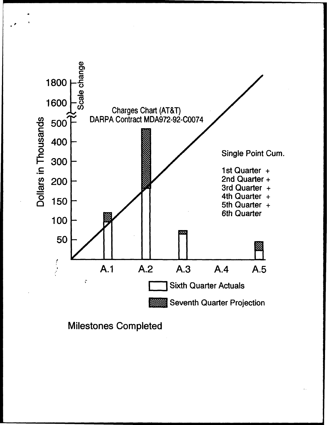

**Milestones Completed**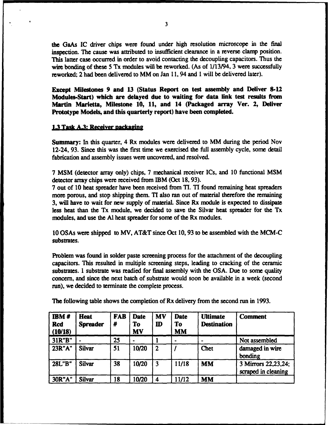the GaAs IC driver chips were found under high resolution microscope in the final inspection. The cause was attributed to insufficient clearance in a reverse clamp position. This latter case occurred in order to avoid contacting the decoupling capacitors. Thus the wire bonding of these 5 Tx modules will be reworked. (As of  $1/13/94$ , 3 were successfully reworked; 2 had been delivered to MM on Jan **11,** 94 and **I** will be delivered later).

Except Milestones 9 and 13 (Status Report on test assembly and Deliver **8-12** Modules-Start) which are delayed due to waiting for data link test results from Martin Marietta, Milestone **10, 11,** and 14 (Packaged array Ver. 2, Deliver Prototype Models, and this quarterly report) have been completed.

## **1.3 Task A.3: Receiver nackaging**

Summary: In this quarter, 4 Rx modules were delivered to MM during the period Nov 12-24, **93.** Since this was the first time we exercised the full assembly cycle, some detail fabrication and assembly issues were uncovered, and resolved.

7 MSM (detector array only) chips, 7 mechanical receiver ICs, and 10 functional MSM detector array chips were received from IBM (Oct 18, 93).

7 out of 10 heat spreader have been received from TI. TI found remaining heat spreaders more porous, and stop shipping them. TI also ran out of material therefore the remaining 3, will have to wait for new supply of materiaL Since Rx module is expected to dissipate less heat than the Tx module, we decided to save the Silvar heat spreader for the Tx modules, and use the **Al** heat spreader for some of the Rx modules.

10 OSAs were shipped to MV, AT&T since Oct 10, 93 to be assembled with the MCM-C substrates.

Problem was found in solder paste screening process for the attachment of the decoupling capacitors. This resulted in multiple screening steps, leading to cracking of the ceramic substrates. 1 substrate was readied for final assembly with the OSA. Due to some quality concern, and since the next batch of substrate would soon be available in a week (second run), we decided to terminate the complete process.

| <b>IBM#</b><br><b>Rcd</b><br>(10/18) | <b>Heat</b><br><b>Spreader</b> | <b>FAB</b><br># | <b>Date</b><br>To<br><b>MV</b> | <b>MV</b><br>${\bf I\!D}$ | <b>Date</b><br>To<br><b>MM</b> | <b>Ultimate</b><br><b>Destination</b> | <b>Comment</b>                             |
|--------------------------------------|--------------------------------|-----------------|--------------------------------|---------------------------|--------------------------------|---------------------------------------|--------------------------------------------|
| 31R"B"                               | $\bullet$                      | 25              |                                |                           |                                |                                       | Not assembled                              |
| 23R"A"                               | <b>Silvar</b>                  | 51              | 10/20                          | $\mathbf{2}$              |                                | <b>Chet</b>                           | damaged in wire<br>bonding                 |
| 28L"B"                               | <b>Silvar</b>                  | 38              | 10/20                          | $\overline{\mathbf{3}}$   | 11/18                          | <b>MM</b>                             | 3 Mirrors 22,23,24;<br>scraped in cleaning |
| 30R"A"                               | <b>Silvar</b>                  | 18              | 10/20                          | 4                         | 11/12                          | <b>MM</b>                             |                                            |

The following table shows the completion of Rx delivery from the second run in 1993.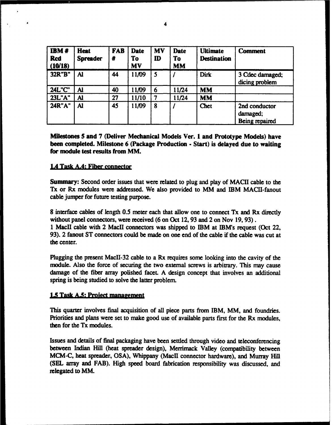| IBM#<br><b>Rcd</b><br>(10/18) | <b>Heat</b><br><b>Spreader</b> | <b>FAB</b><br># | <b>Date</b><br>To<br><b>MV</b> | <b>MV</b><br>$\mathbf{D}$ | <b>Date</b><br>To<br><b>MM</b> | <b>Ultimate</b><br><b>Destination</b> | <b>Comment</b>                              |
|-------------------------------|--------------------------------|-----------------|--------------------------------|---------------------------|--------------------------------|---------------------------------------|---------------------------------------------|
| 32R"B"                        | Al                             | 44              | 11/09                          | 5                         |                                | Dirk                                  | 3 Cdec damaged;<br>dicing problem           |
| <b>24L"C"</b>                 | Al                             | 40              | 11/09                          | 6                         | 11/24                          | <b>MM</b>                             |                                             |
| 23L"A"                        | Al                             | 27              | 11/10                          |                           | 11/24                          | <b>MM</b>                             |                                             |
| <b>24R"A"</b>                 | Al                             | 45              | 11/09                          | 8                         |                                | Chet                                  | 2nd conductor<br>damaged;<br>Being repaired |

Milestones 5 and 7 (Deliver Mechanical Models Ver. **I** and Prototype Models) have been completed. Milestone 6 (Package Production **-** Start) is delayed due to waiting for module test results from MM.

# **1.4 Task A.4: Fiber connector**

Summary: Second order issues that were related to plug and play of MACH cable to the Tx or Rx modules were addressed. We also provided to MM and IBM MACII-fanout cable jumper for future testing purpose.

8 interface cables of length 0.5 meter each that allow one to connect Tx and Rx directly without panel connectors, were received (6 on Oct 12, 93 and 2 on Nov 19, 93).

1 MacII cable with 2 MacII connectors was shipped to IBM at IBM's request (Oct 22, 93). 2 fanout ST connectors could be made on one end of the cable if the cable was cut at the center.

Plugging the present MaclI-32 cable to a Rx requires some looking into the cavity of the module. Also the force of securing the two external screws is arbitrary. This may cause damage of the fiber array polished facet. A design concept that involves an additional spring is being studied to solve the latter problem.

## **1.5** Task **A.S.** Project management

This quarter involves final acquisition of all piece parts from IBM, MM, and foundries. Priorities and plans were set to make good use of available parts first for the Rx modules, then for the Tx modules.

Issues and details of final packaging have been settled through video and teleconferencing between Indian Hill (heat spreader design), Merrimack Valley (compatibility between MCM-C, heat spreader, OSA), Whippany (MacII connector hardware), and Murray Hill (SEL array and FAB). High speed board fabrication responsibility was discussed, and relegated to MM.